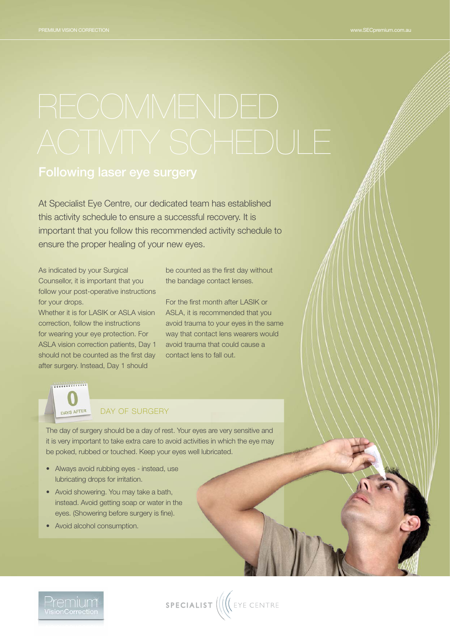At Specialist Eye Centre, our dedicated team has established this activity schedule to ensure a successful recovery. It is important that you follow this recommended activity schedule to ensure the proper healing of your new eyes.

As indicated by your Surgical Counsellor, it is important that you follow your post-operative instructions for your drops.

Whether it is for LASIK or ASLA vision correction, follow the instructions for wearing your eye protection. For ASLA vision correction patients, Day 1 should not be counted as the first day after surgery. Instead, Day 1 should

be counted as the first day without the bandage contact lenses.

For the first month after LASIK or ASLA, it is recommended that you avoid trauma to your eyes in the same way that contact lens wearers would avoid trauma that could cause a contact lens to fall out.



### DAY OF SURGERY

The day of surgery should be a day of rest. Your eyes are very sensitive and it is very important to take extra care to avoid activities in which the eye may be poked, rubbed or touched. Keep your eyes well lubricated.

- Always avoid rubbing eyes instead, use lubricating drops for irritation.
- Avoid showering. You may take a bath, instead. Avoid getting soap or water in the eyes. (Showering before surgery is fine).
- Avoid alcohol consumption.

'remium